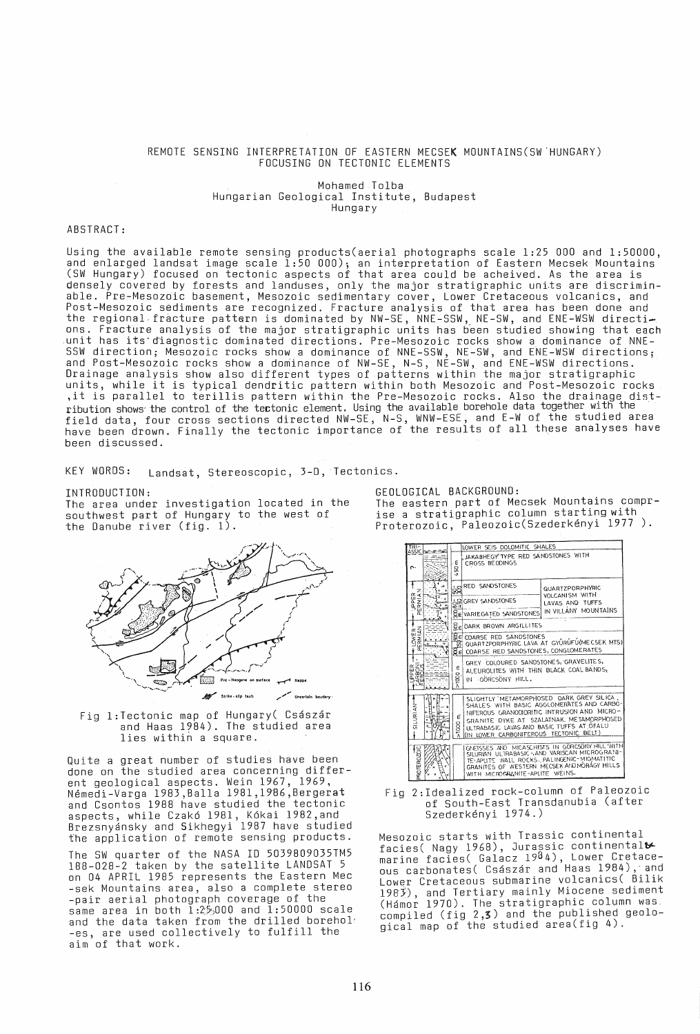# REMOTE SENSING INTERPRETATION OF EASTERN MECSEK MOUNTAINS(SW'HUNGARY) FOCUSING ON TECTONIC ELEMENTS

Mohamed Tolba Hungarian Geological Institute, Budapest Hungary

# ABSTRACT:

Using the available remote sensing products(aerial photographs scale  $1\!:\!25$  000 and  $1\!:\!50000$ , and enlarged landsat image scale 1:50 000); an interpretation of Eastern Mecsek Mountains (SW Hungary) focused on tectonic aspects of that area could be acheived. As the area is densely covered by forests and landuses, only the major stratigraphic uni,ts are discriminable. Pre-Mesozdic basement, Mesozoic sedimentary cover, Lower Cretaceous volcanics, and Post-Mesozoic s~diments are recognized. Fracture analysis of that area has been done and the regional fracture pattern is dominated by NW-SE, NNE-SSW, NE-SW, and ENE-WSW directi-<br>ons. Fracture analysis of the major stratigraphic units has been studied showing that each .unit has it5'~iagnostic dominated directions. Pre-Mesozoic rocks show a dominance of NNE-SSW direction; Mesozoic rocks show a dominance of NNE-SSW, NE-SW, and ENE-WSW directions; and Post-Mesozoic rocks show a dominance of NW-SE, N-S, NE-SW, and ENE-WSW directions. Drainage analysis show also different types of patterns within the major stratigraphic units, while it is typical dendritic pattern within both Mesozoic and Post-Mesozoic rocks , it is parallel to terillis pattern within the Pre-Mesozoic rocks. Also the drainage distribution shows the control of the tectonic element. Using the available borehole data together with the field data, four cross sections directed NW-SE, N-S., WNW-ESE, and E-W of the studied area<br>have been drown. Finally the tectonic importance of the results of all these analyses have been discussed.

KEY WORDS: Landsat, Stereoscopic, 3-D, Tectonics.

## INTRODUCTION:

The area under investigation located in the southwest part of Hungary to the west of the Danube river (fig. 1).



Fig 1:Tectonic map of Hungary( Császár and Haas 1984). The studied area<br>lies within a square.

Quite a great number of studies have been done on the studied area concerning different geological aspects. Wein 1967, 1969, N~medi-Varga 1983,Balla 1981,1986,Bergerat and Csontos 1988 have studied the tectonic aspects, while Czak6 1981, K6kai 1982,and Brezsnyansky and Sikhegyi 1987 have studied the application of remote sensing products. The SW quarter of the NASA 10 5039809035TM5 on 04 APRIL 1985 represents the Eastern Mec -sek Mountains area, also a complete stereo<br>-pair aerial photograph coverage of the same area in both I:  $2.5,000$  and 1: 50000 scale<br>and the data taken from the drilled borehol -es, are used collectively to fulfill the aim of that work.

GEOLOGICAL BACKGROUND:

The eastern P9rt of Mecsek Mountains comprise a stratigraphic column starting with Proterozoic, Paleozoic(Szederkényi 1977 ).

| $TRI-$                  |                    | LOWER SEIS DOLOMITIC SHALES                                                                                                |                                                                                                                                                                                                |  |  |  |  |  |  |
|-------------------------|--------------------|----------------------------------------------------------------------------------------------------------------------------|------------------------------------------------------------------------------------------------------------------------------------------------------------------------------------------------|--|--|--|--|--|--|
| ASSIC <b>BEE</b><br>r.  | ε<br>ន<br>×.       | JAKABHEGY" TYPE RED SANDSTONES WITH<br>CROSS BECOINGS                                                                      |                                                                                                                                                                                                |  |  |  |  |  |  |
| z.<br><b>JPPER</b>      |                    | RED SANDSTONES                                                                                                             | QUARTZPORPHYRIC<br><b>VOLCANISM WITH</b>                                                                                                                                                       |  |  |  |  |  |  |
|                         | ౚఀఀ౼               | SRIGREY SANDSTONES                                                                                                         | LAVAS AND TUFFS                                                                                                                                                                                |  |  |  |  |  |  |
|                         |                    | BE VARIEGATED SANDSTONES IN VILLANY MOUNTAINS                                                                              |                                                                                                                                                                                                |  |  |  |  |  |  |
|                         |                    | <b>SEDARK BROWN ARGILLITES</b>                                                                                             |                                                                                                                                                                                                |  |  |  |  |  |  |
| <b>LOWER-</b><br>ERMIAN | प्त                | <b>BE COARSE RED SANDSTONES</b><br>QUARTZPORPHYRIC LAVA AT GYÜRÜFÜ(MECSEK MIS)<br>SE COARSE RED SANDSTONES, CONGLOMERATES  |                                                                                                                                                                                                |  |  |  |  |  |  |
| α<br>mс<br>గπ           | E<br>$\frac{6}{5}$ | GREY COLOURED SANDSTONES, GRAVELITES,<br>ALEUROLITES WITH THIN BLACK COAL BANDS,<br>IN GÖRCSÖNY HILL.                      |                                                                                                                                                                                                |  |  |  |  |  |  |
| SILURIANT               | ε.<br>8            | NIFEROUS GRANODORITIC INTRUSION AND<br>ULTRABASIC LAVAS AND BASIC TUFFS AT OFALU<br>(IN LOWER CARBONIFEROUS TECTONIC BELT) | SLIGHTLY 'METAMORPHOSED DARK GREY SILICA.<br>SHALES WITH BASIC AGGLOMERATES AND CARBO-<br>MICRO-<br>GRANITE DYKE AT SZALATNAK, METAMORPHOSED                                                   |  |  |  |  |  |  |
| <b>ROTEROZDIC</b>       |                    | WITH MICROGRANITE-APLITE WEINS.                                                                                            | GNEISSES AND MICASCHISTS IN GORCSONY HILL WITH<br>SILURIAN ULTRABASIC-, AND VARISCAN MICROGRANI-<br>TE-APLITE WALL ROCKS. PALINGENIC-MIGMATITIC<br>GRANITES OF WESTERN MECSEK AND MORAGY HILLS |  |  |  |  |  |  |

Fig 2:Idealized rock-column of Paleozoic of south-East Transdanubia (after Szederkényi 1974.)

Mesozoic starts with Trassic continental facies( Nagy 1968), Jurassic continental $\blacktriangleright$ marine facies( Galacz 1984), Lower Cretace-<br>ous carbonates( Császár and Haas 1984), and Lower Cretaceous submarine volcanics( Bilik 1983), and Tertiary mainly Miocene sediment (Hamo~ 1970). The stratigraphic column was. compiled (fig 2,3) and the published geological map of the studied area(fig 4).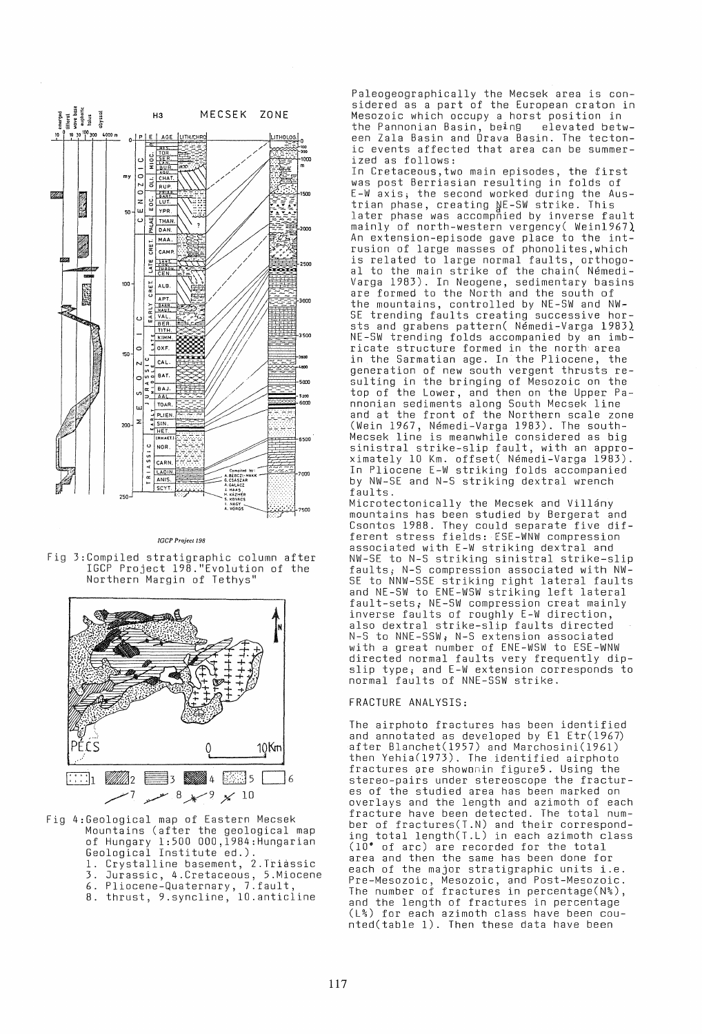

*IGCP Project 198* 

Fig 3:Compiled stratigraphic column after IGCP Project 198."Evolution of the Northern Margin of Tethys"



Fig 4:Geological map of Eastern Mecsek Mountains (after the geological map of Hungary 1:500 000,1984:Hungarian<br>Geological Institute ed.). 1. Crystalline basement, 2.Triassic 3. Jurassic, 4.Cretaceous, 5.Miocene 6. Pliocene-Quaternary, 7.fault, 8. thrust, 9.syncline, 10.anticline

Paleogeographically the Mecsek area is con- sidered as a part of the European craton in Mesozoic which occupy a horst position in the Pannonian Basin, being elevated betw- een Zala Basin and Drava Basin. The tectonic events affected that area can be summer- ized as follows:

In Cretaceous,two main episodes, the first was post Berriasian resulting in folds of E-W axis; the second worked during the Austrian phase, creating AE-SW strike. This later phase was accompnied by inverse fault  $\texttt{mainly}$  of north-western vergency( Wein $1967$ ) An extension-episode gave place to the intrusion of large masses of phonolites,which is related to large normal faults, orthogoal to the main strike of the chain( Nemedi-Varga 1983). In Neogene, sedimentary basins<br>are formed to the North and the south of are formed to the North and the south of<br>the mountains, controlled by NE-SW and NW-SE trending faults creating successive horsts and grabens pattern( Nemedi-Varga 1983) NE-SW trending folds accompanied by an imb-<br>ricate structure formed in the north area in the Sarmatian age. In the Pliocene, the generation of new south vergent thrusts re- sulting in the bringing of Mesozoic on the top of the Lower, and then on the Upper Pannonian sediments along South Mecsek line and at the front of the Northern scale zone (Wein 1967, Nemedi-Varga 1983). The south-Mecsek line is meanwhile considered as big sinistral strike-slip fault, with an approximately 10 Km. offset( Nemedi-Varga 1983). In Pliocene E-W striking folds accompanied by NW-SE and N-S striking dextral wrench faults.

Microtectonically the Mecsek and Villány mountains has been studied by Bergerat and Csontos 1988. They could separate five different stress fields: ESE-WNW compression associated with E-W striking dextral and NW-SE to N-S striking sinistral strike-slip faults; N-S compression associated with NW-SE to NNW-SSE striking right lateral faults and NE-SW to ENE-WSW striking left lateral fault-sets; NE-SW compression creat mainly inverse faults of roughly E-W direction, also dextral strike-slip faults directed N-S to NNE-SSW; N-S extension associated with a great number of ENE-WSW to ESE-WNW directed normal faults very frequently dipslip type; and E-W extension corresponds to normal faults of NNE-SSW strike.

## FRACTURE ANALYSIS:

The airphoto fractures has been identified and annotated as developed by El Etr(1967) after Blanchet(1957) and Marchosini(1961) then Yehia(1973). The identified airphoto fractures are showanin figure5. Using the<br>stereo-pairs under stereoscope the fractures of the studied area has been marked on<br>overlays and the length and azimoth of each fracture have been detected. The total num- ber of fractures(T.N) and their corresponding total length(T.L) in each azimoth class (10· of arc) are recorded for the total area and then the same has been done for area and then the same has been done for<br>each of the major stratigraphic units i.e. Pre-Mesozoic, Mesozoic, and Post-Mesozoic. The number of fractures in percentage(N%), and the length of fractures in percentage (L%) for each azimoth class have been cou- nted(table 1). Then these data have been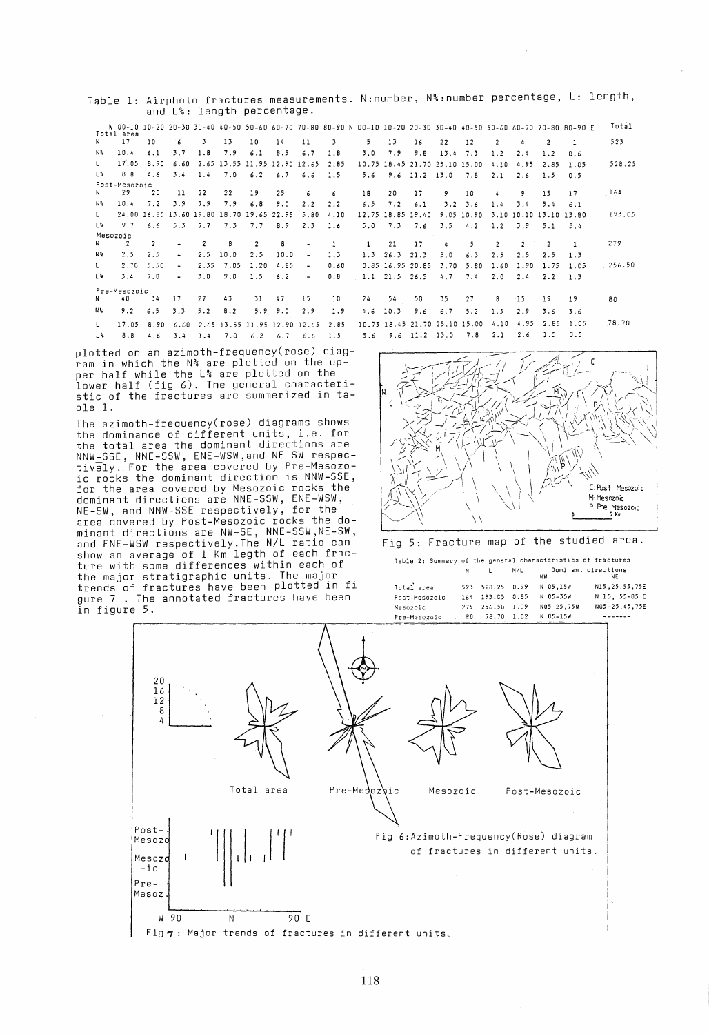Table 1: Airphoto fractures measurements. N:number, N%:number percentage, **L:** length, and L%: length percentage.

|     |               |                |                          |                |                                           |                |            |                          |      |              |                     |                   |                               |            |      |               |                        | W 00-10 10-20 20-30 30-40 40-50 50-60 60-70 70-80 80-90 N 00-10 10-20 20-30 30-40 40-50 50-60 60-70 70-80 80-90 E | Total     |
|-----|---------------|----------------|--------------------------|----------------|-------------------------------------------|----------------|------------|--------------------------|------|--------------|---------------------|-------------------|-------------------------------|------------|------|---------------|------------------------|-------------------------------------------------------------------------------------------------------------------|-----------|
|     | Total area    |                |                          |                |                                           |                |            |                          |      |              |                     |                   |                               |            |      |               |                        |                                                                                                                   |           |
| N   | 17            | 10             | 6                        | 3.             | 13                                        | 10             | 14         | 11                       | 3    | 5.           | 13                  | 16                | 22                            | 12         |      |               | $\overline{2}$         |                                                                                                                   | 523       |
| N%  | 10.4          | 6.1            | 3.7                      | 1.8            | 7.9                                       | 6.1            | 8.5        | 6.7                      | 1.8  | 3.0          | 7.9                 | 9.8               | 13.4                          | 7.3        | 1.2  | 2.4           | 1.7                    | 0.6                                                                                                               | All Corp. |
|     | 17.05         | 8.90           | 6.60                     |                | 2.65 13.55 11.95 12.90 12.65              |                |            |                          | 2.85 |              |                     |                   | 10.75 18.45 21.70 25.10 15.00 |            | 4.10 | 4.95          | 2.85                   | 1.05                                                                                                              | 528.25    |
| 1.3 | <b>B.A</b>    | 4.6            | 3.4                      | 1.4            | 7.0                                       | 6.2            | 6.7        | 6.6                      | 1.5  | 5.6          |                     | $9.6$ 11.2 13.0   |                               | 7.8        | 2.1  | 2.6           | 1.5                    | 0.5                                                                                                               |           |
|     | Post-Mesozoic |                |                          |                |                                           |                |            |                          |      |              |                     |                   |                               |            |      |               |                        |                                                                                                                   |           |
|     | 29            | 20             | $_{11}$                  | 22             | 22                                        | 19             | 25         | 6                        | 6    | 18           | 20                  | 17                | 9                             | 10         | 4    | 9             | 15                     | 17                                                                                                                | 164       |
| N%  | 10.4          | 7.2            | 3.9                      | 7.9            | 7.9                                       | 6.8            | 9.0        | 2.2                      | 2.2  | 6.5          | 7.2                 | 6.1               | 3.2                           | 3.6        | 1.4  | 3.4           | 5.4                    | 6.1                                                                                                               |           |
|     |               |                |                          |                | 24.00 16.85 13.60 19.80 18.70 19.65 22.95 |                |            | 5.80                     | 4.10 |              |                     | 12.75 18.85 19.40 |                               | 9.05 10.90 |      |               | 3.10 10.10 13.10 13.80 |                                                                                                                   | 193.05    |
| L‰  | 9.7           | 6.6            | 5.3                      | 7.7            | 7.3                                       | 7.7            | <b>B.9</b> | 2.3                      | 1.6  | 5.0          | 7.3                 | 7.6               | 3.5                           | 4.2        | 1.2  | 3.9           | 5.1                    | 5.4                                                                                                               |           |
|     | Mesozoic      |                |                          |                |                                           |                |            |                          |      |              |                     |                   |                               |            |      |               |                        |                                                                                                                   |           |
| N   | 2             | $\overline{2}$ |                          | $\overline{2}$ | 8                                         | $\overline{2}$ | 8          | $\bullet$                |      | $\mathbf{1}$ | 21                  | 17                | 4                             | 5.         | 2    | $\mathcal{P}$ | $\mathcal{P}$          |                                                                                                                   | 279       |
| N%  | 2.5           | 2.5            |                          | 2.5            | 10.0                                      | 2.5            | 10.0       | $\overline{\phantom{a}}$ | 1.3  |              | $1.3 \quad 26.3$    | 21.3              | 5.0                           | 6.3        | 7.5  | 2.5           | 2.5                    | 1.3                                                                                                               |           |
|     | 2.70          | 5.50           | $\overline{\phantom{a}}$ | 2.35           | 7.05                                      | 1.20           | 4.85       | ۰                        | 0.60 |              | 0.85 16.95 20.85    |                   | 3.70                          | 5.80       | 1.60 | 1.90          | 1.75                   | 1.05                                                                                                              | 256.50    |
| L%։ | 3.4           | 7.0            | $\sim$                   | 3.0            | 9.0                                       | 1.5            | 6:2        | $\blacksquare$           | 0.8  |              | $1.1$ $21.5$ $26.5$ |                   | 4.7                           | 7.4        | 2.0  | 2.4           | 2.2                    | 1.3                                                                                                               |           |
|     | Pre-Mesozoic  |                |                          |                |                                           |                |            |                          |      |              |                     |                   |                               |            |      |               |                        |                                                                                                                   |           |
| N.  | 48            | 34             | 17                       | 27             | 43                                        | 31             | 47         | 15                       | 10   | 24           | 54                  | 50                | 35                            | 27         | 8    | $-15$         | 19                     | 19                                                                                                                | 80        |
| N%. | 9.2           | 6.5            | 3.3                      | 5.2            | B.2                                       | 5.9            | 9.0        | 2.9                      | 1.9  | 4.6          | 10.3                | 9.6               | 6.7                           | 5.2        | 1.5  | 2.9           | 3.6                    | 3.6                                                                                                               |           |
|     | 17.05         | 8.90           | 6.60                     |                | 2.65 13.55 11.95 12.90                    |                |            | 12.65                    | 2.85 | 10.75        |                     |                   | 18.45 21.70 25.10 15.00       |            | 4.10 | 4.95          | 2.85                   | 1.05                                                                                                              | 78.70     |
| ⊥°∗ | 8.8           | 4.6            | 3.4                      | 1.4            | 7.0                                       | 6.2            | 6.7        | 66                       | 1.5  | 5.6          | 9.6                 | $11.2$ 13.0       |                               | 7.8        | 2.1  | 2.6           | 1.5                    | 0.5                                                                                                               |           |
|     |               |                |                          |                |                                           |                |            |                          |      |              |                     |                   |                               |            |      |               |                        |                                                                                                                   |           |

plotted on an azimoth-frequency(rose) diag- ram in which the N% are plotted on the upper half while the L% are plotted on the lower half (fig 6). The general characteristic of the fractures are summerized in table 1.

The azimoth-frequency(rose) diagrams shows the dominance of different units, i.e. for the total area the dominant directions are NNW-SSE, NNE-SSW, ENE-WSW,and NE-SW respectively. For the area covered by Pre-Mesozoic rocks the dominant direction is NNW-SSE, for the area covered by Mesozoic rocks the dominant directions are NNE-SSW, ENE-WSW,<br>NE-SW, and NNW-SSE respectively, for the usmind...<br>NE-SW, and NNW-SSE respectively, for the<br>area covered by Post-Mesozoic rocks the dominant directions are NW-SE, NNE-SSW,NE-SW, minums affections are who is not ratio can<br>and ENE-WSW respectively.The N/L ratio can<br>show an average of 1 Km legth of each fracshow an a<br>ture with the major trends of gure 7. in figure



| .rections are NW-5E, NNE-55W,NE-5W,<br>ISW respectively.The N/L ratio can<br>verage of 1 Km legth of each frac-<br>some differences within each of<br>stratigraphic units. The major : | Fig 5: Fracture map of the studied area.<br>Table 2: Summery of the general characteristics of fractures<br>N/L<br>Dominant directions<br>N                                                                                                                       |
|----------------------------------------------------------------------------------------------------------------------------------------------------------------------------------------|-------------------------------------------------------------------------------------------------------------------------------------------------------------------------------------------------------------------------------------------------------------------|
| f fractures have been plotted in fi<br>The annotated fractures have been<br>, 5.                                                                                                       | NW<br>NE<br>Total area<br>N 05,15W<br>N15, 25, 55, 75E<br>523<br>528.25 0.99<br>N 15, 55-85 E<br>N 05-35W<br>164<br>193.05 0.85<br>Post-Mesozoic<br>N05-25.75W<br>N05-25,45,75E<br>279<br>256.50 1.09<br>Mesozoic<br>N 05-15W<br>78.70 1.02<br>50<br>Pre-Mesozoic |
| 20<br>16<br>12<br>8<br>4<br>Total area<br>Pre-Mesozoic                                                                                                                                 | Mesozoic<br>Post-Mesozoic                                                                                                                                                                                                                                         |
| Post-<br>Mesozo<br>Mesozd<br>$-ic$<br>Pre-<br>Mesoz.<br>W 90<br>90 E<br>N<br>Fig $\eta$ : Major trends of fractures in different units.                                                | Fig 6:Azimoth-Frequency(Rose) diagram<br>of fractures in different units.                                                                                                                                                                                         |
|                                                                                                                                                                                        |                                                                                                                                                                                                                                                                   |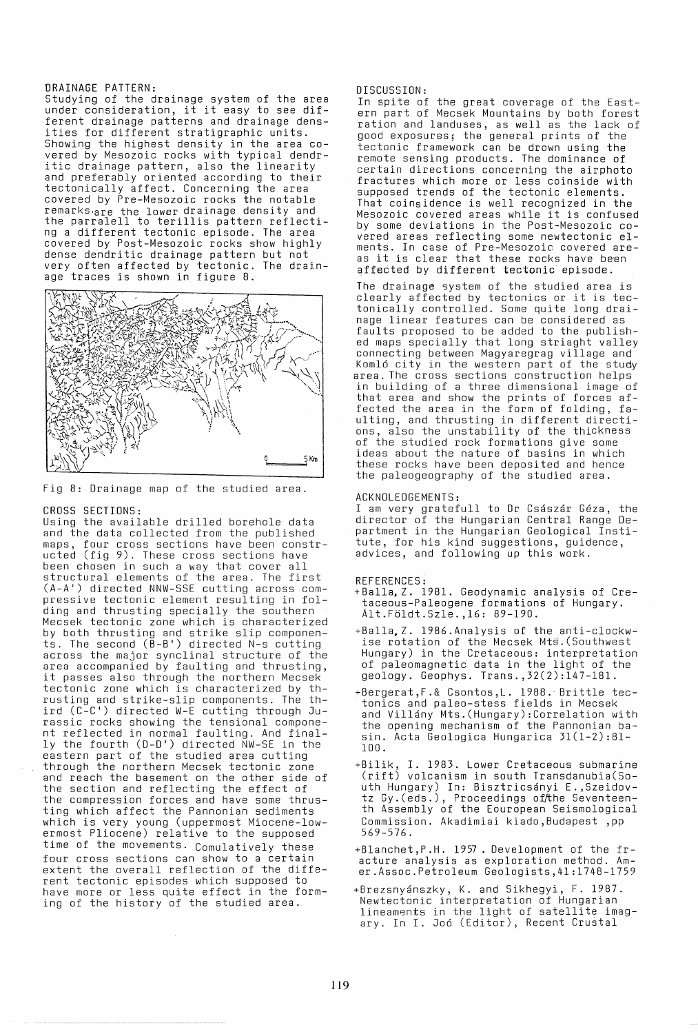DRAINAGE PATTERN:<br>Studying of the drainage system of the area under consideration, it it easy to see different drainage patterns and drainage densities for different stratigraphic units. vered by Mesozoic rocks with typical dendritic drainage pattern, also the linearity and preferably oriented according to their tectonically affect. Concerning the area covered by Pre-Mesozoic rocks the notable remarks·are the lower drainage density and the parralell to terillis pattern reflecting a different tectonic episode. The area covered by Post-Mesozoic rocks show highly covered by Post-Mesozoic rocks show highly<br>dense dendritic drainage pattern but not very often affected by tectonic. The drainage traces is shown in figure 8.



Fig 8: Drainage map of the studied area.

## CROSS SECTIONS:

Using the available drilled borehole data and the data collected from the published maps, four cross sections have been constructed (fig 9). These cross sections have been chosen in such a way that cover all structural elements of the area. The first (A-AI) directed NNW-SSE cutting across com- pressive tectonic element resulting in folding and thrusting specially the southern Mecsek tectonic zone which is characterized by both thrusting and strike slip componen-<br>ts. The second (B-B') directed N-s cutting to. The second of a synclinal structure of the<br>area accompanied by faulting and thrusting, it passes also through the northern Mecsek tectonic zone which is characterized by thrusting and strike-slip components. The third  $(C-C')$  directed W-E cutting through Jurassic rocks showing the tensional component reflected in normal faulting. And finally the fourth (D-D') directed NW-SE in the eastern part of the studied area cutting<br>through the northern Mecsek tectonic zone and reach the basement on the other side of the section and reflecting the effect of the compression forces and have some thrusting which affect the Pannonian sediments which is very young (uppermost Miocene-lowermost Pliocene) relative to the supposed time of the movements. Comulatively these four cross sections can show to a certain extent the overall reflection of the different tectonic episodes which supposed to have more or less quite effect in the forming of the history of the studied area.

DISCUSSION:

In spite of the great coverage of the East- ern part of Mecsek Mountains by both forest ration and landuses, as well as the lack of good exposures; the general prints of the tectonic framework can be drown using the remote sensing products. The dominance of certain directions concerning the airphoto fractures which more or less coinside with supposed trends of the tectonic elements. That coinsidence is well recognized in the Mesozoic covered areas while it is confused by some deviations in the Post-Mesozoic co- vered areas reflecting some newtectonic elvered areas reflecting some newtectonic el-<br>ments. In case of Pre-Mesozoic covered are-<br>as it is clear that these rocks have been affected by different tectonic episode.

The drainage system of the studied area is clearly affected by tectonics or it is tectonically controlled. Some quite long drainage linear features can be considered as faults proposed to be added to the published maps specially that long striaght valley connecting between Magyaregrag village and Komló city in the western part of the study<br>area. The cross sections construction helps in building of a three dimensional image of that area and show the prints of forces affected the area in the form of folding, faulting, and thrusting in different directions, also the unstability of the thickness of the studied rock formations give some ideas about the nature of basins in which these rocks have been deposited and hence the paleogeography of the studied area.

### ACKNOLEDGEMENTS:

I am very gratefull to Dr Császár Géza, the director of the Hungarian Central Range Department in the Hungarian Geological Institute, for his kind suggestions, guidence, advices, and following up this work.

### REFERENCES:

- +Balla. Z. 1981. Geodynamic analysis of Cretaceous-Paleogene formations of Hungary. Alt.Foldt.Szle. ,16: 89-190.
- +Balla, Z. 1986.Analysis of the anti-clockwise rotation of the Mecsek Mts.(Southwest Hungary) in the Cretaceous: interpretation of paleomagnetic data in the light of the geology. Geophys. Trans. ,32(2):147-181.
- +Bergerat,F.& Csontos,L. 1988." Brittle tectonics and paleo-stess fields in Mecsek and Villany Mts.(Hungary):Correlation with the opening mechanism of the Pannonian basin. Acta Geologica Hungarica 31(1-2):81- 100.
- +Bilik, I. 1983. Lower Cretaceous submarine (rift) volcanism in south Transdanubia(South Hungary) In: Bisztricsanyi E. ,Szeidovtz Gy.(eds.), Proceedings of the Seventeenth Assembly of the Eouropean Seismological Commission. Akadimiai kiado,Budapest ,pp 569-576.
- +Blanchet,P.H. 1957. Development of the fracture analysis as exploration method. Amer.Assoc.Petroleum Geologists,41:1748-1759
- +Brezsnyanszky, K. and Sikhegyi, F. 1987. Newtectonic interpretation of Hungarian nterior interpretation of nangarian<br>lineaments in the light of satellite imagary. In I. Joo (Editor), Recent Crustal